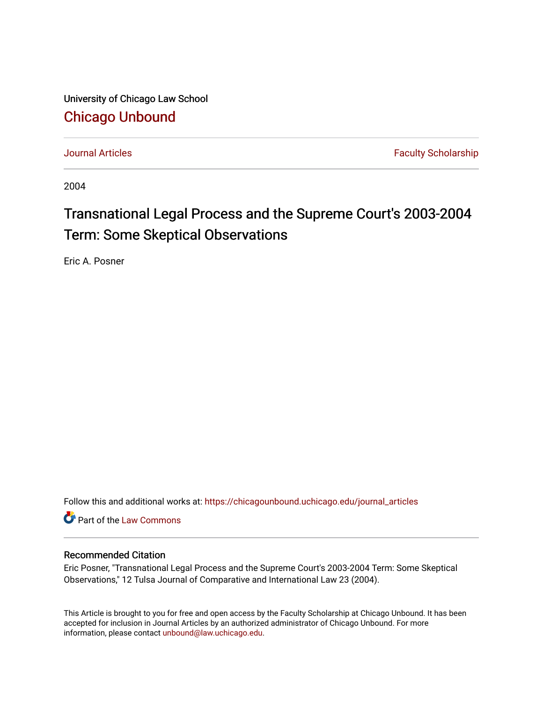University of Chicago Law School [Chicago Unbound](https://chicagounbound.uchicago.edu/)

[Journal Articles](https://chicagounbound.uchicago.edu/journal_articles) **Faculty Scholarship Journal Articles** 

2004

# Transnational Legal Process and the Supreme Court's 2003-2004 Term: Some Skeptical Observations

Eric A. Posner

Follow this and additional works at: [https://chicagounbound.uchicago.edu/journal\\_articles](https://chicagounbound.uchicago.edu/journal_articles?utm_source=chicagounbound.uchicago.edu%2Fjournal_articles%2F1730&utm_medium=PDF&utm_campaign=PDFCoverPages) 

Part of the [Law Commons](http://network.bepress.com/hgg/discipline/578?utm_source=chicagounbound.uchicago.edu%2Fjournal_articles%2F1730&utm_medium=PDF&utm_campaign=PDFCoverPages)

### Recommended Citation

Eric Posner, "Transnational Legal Process and the Supreme Court's 2003-2004 Term: Some Skeptical Observations," 12 Tulsa Journal of Comparative and International Law 23 (2004).

This Article is brought to you for free and open access by the Faculty Scholarship at Chicago Unbound. It has been accepted for inclusion in Journal Articles by an authorized administrator of Chicago Unbound. For more information, please contact [unbound@law.uchicago.edu](mailto:unbound@law.uchicago.edu).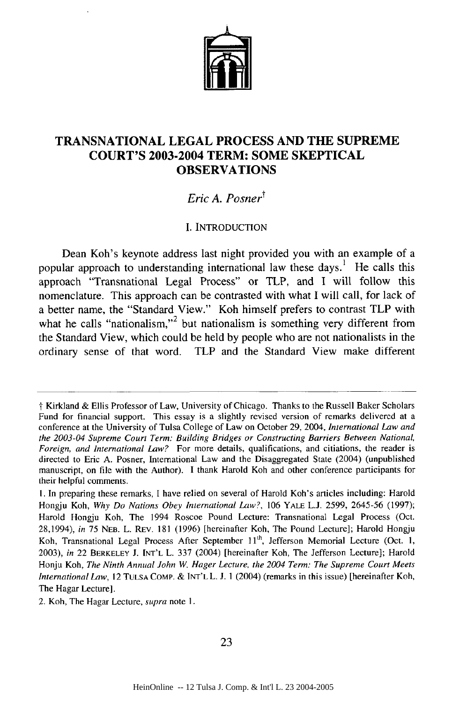

## **TRANSNATIONAL LEGAL PROCESS AND THE SUPREME COURT'S 2003-2004 TERM: SOME SKEPTICAL OBSERVATIONS**

# *Eric A. Posnert*

#### I. INTRODUCTION

Dean Koh's keynote address last night provided you with an example of a popular approach to understanding international law these days.<sup>1</sup> He calls this approach "Transnational Legal Process" or TLP, and I will follow this nomenclature. This approach can be contrasted with what I will call, for lack of a better name, the "Standard View." Koh himself prefers to contrast TLP with what he calls "nationalism,"<sup>2</sup> but nationalism is something very different from the Standard View, which could be held by people who are not nationalists in the ordinary sense of that word. TLP and the Standard View make different

t Kirkland & Ellis Professor of Law, University of Chicago. Thanks to the Russell Baker Scholars Fund for financial support. This essay is a slightly revised version of remarks delivered at a conference at the University of Tulsa College of Law on October **29,** 2004, *International Law and the 2003-04 Supreme Court Term: Building Bridges or Constructing Barriers Between National, Foreign, and International Law?* For more details, qualifications, and citiations, the reader is directed to Eric A. Posner, International Law and the Disaggregated State (2004) (unpublished manuscript, on file with the Author). I thank Harold Koh and other conference participants for their helpful comments.

**I.** In preparing these remarks, I have relied on several of Harold Koh's articles including: Harold Hongju Koh, *Why Do Nations Obey International Law?,* 106 YALE **L.J.** 2599, 2645-56 (1997); Harold Hongju Koh, The 1994 Roscoe Pound Lecture: Transnational Legal Process (Oct. 28,1994), *in* 75 **NEB.** L. REV. 181 (1996) [hereinafter Koh, The Pound Lecture]; Harold Hongju Koh, Transnational Legal Process After September 11<sup>th</sup>, Jefferson Memorial Lecture (Oct. 1, 2003), *in* 22 BERKELEY J. **INT'L** L. 337 (2004) [hereinafter Koh, The Jefferson Lecture]; Harold Honju Koh, *The Ninth Annual John W. Hager Lecture, the 2004 Term: The Supreme Court Meets International Law,* 12 **TULSA** COMP. & INT'L L. J. 1 (2004) (remarks in this issue) [hereinafter Koh, The Hagar Lecture].

<sup>2.</sup> Koh, The Hagar Lecture, *supra* note **I.**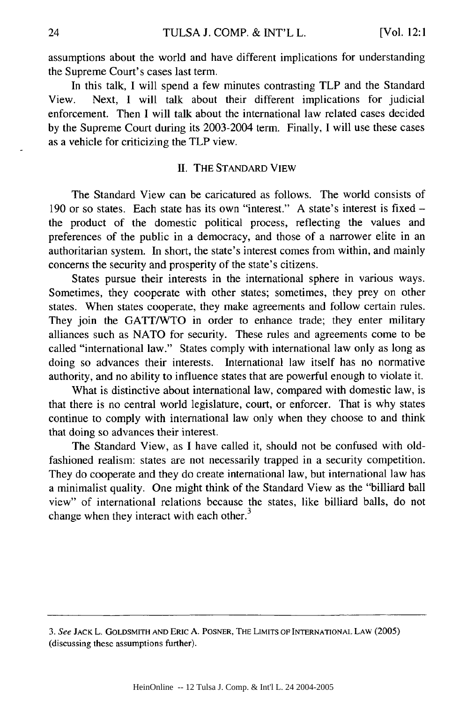assumptions about the world and have different implications for understanding the Supreme Court's cases last term.

In this talk, I will spend a few minutes contrasting TLP and the Standard View. Next, I will talk about their different implications for judicial enforcement. Then I will talk about the international law related cases decided by the Supreme Court during its 2003-2004 term. Finally, I will use these cases as a vehicle for criticizing the TLP view.

#### II. THE STANDARD VIEW

The Standard View can be caricatured as follows. The world consists of 190 or so states. Each state has its own "interest." A state's interest is fixed the product of the domestic political process, reflecting the values and preferences of the public in a democracy, and those of a narrower elite in an authoritarian system. In short, the state's interest comes from within, and mainly concerns the security and prosperity of the state's citizens.

States pursue their interests in the international sphere in various ways. Sometimes, they cooperate with other states; sometimes, they prey on other states. When states cooperate, they make agreements and follow certain rules. They join the GATT/WTO in order to enhance trade; they enter military alliances such as NATO for security. These rules and agreements come to be called "international law." States comply with international law only as long as doing so advances their interests. International law itself has no normative authority, and no ability to influence states that are powerful enough to violate it.

What is distinctive about international law, compared with domestic law, is that there is no central world legislature, court, or enforcer. That is why states continue to comply with international law only when they choose to and think that doing so advances their interest.

The Standard View, as I have called it, should not be confused with oldfashioned realism: states are not necessarily trapped in a security competition. They do cooperate and they do create international law, but international law has a minimalist quality. One might think of the Standard View as the "billiard ball view" of international relations because the states, like billiard balls, do not change when they interact with each other.<sup>3</sup>

*<sup>3.</sup>* See **JACK** L. GOLDSMITH **AND** ERiC A. POSNER, THE LIMITS OF **INTERNATIONAL** LAW (2005) (discussing these assumptions further).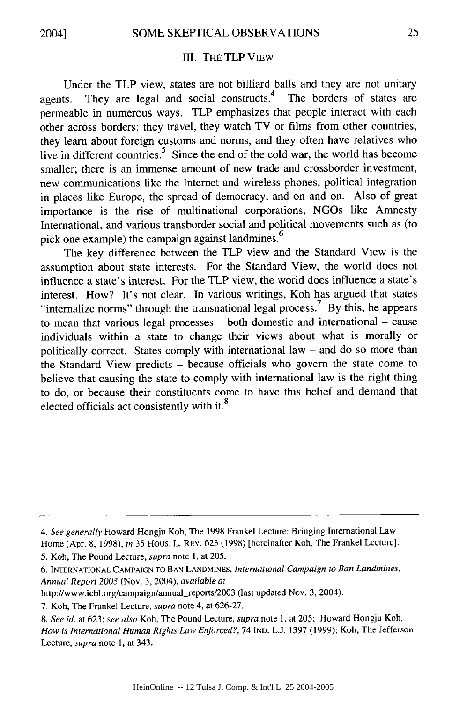#### III. THE TLP VIEW

Under the TLP view, states are not billiard balls and they are not unitary agents. They are legal and social constructs.<sup>4</sup> The borders of states are permeable in numerous ways. TLP emphasizes that people interact with each other across borders: they travel, they watch TV or films from other countries, they learn about foreign customs and norms, and they often have relatives who live in different countries.<sup>5</sup> Since the end of the cold war, the world has become smaller; there is an immense amount of new trade and crossborder investment, new communications like the Internet and wireless phones, political integration in places like Europe, the spread of democracy, and on and on. Also of great importance is the rise of multinational corporations, NGOs like Amnesty International, and various transborder social and political movements such as (to pick one example) the campaign against landmines.<sup>6</sup>

The key difference between the TLP view and the Standard View is the assumption about state interests. For the Standard View, the world does not influence a state's interest. For the TLP view, the world does influence a state's interest. How? It's not clear. In various writings, Koh has argued that states "internalize norms" through the transnational legal process.<sup>7</sup> By this, he appears to mean that various legal processes **-** both domestic and international - cause individuals within a state to change their views about what is morally or politically correct. States comply with international law - and do so more than the Standard View predicts - because officials who govern the state come to believe that causing the state to comply with international law is the right thing to do, or because their constituents come to have this belief and demand that elected officials act consistently with it.<sup>8</sup>

*<sup>4.</sup> See generally* Howard Hongju Koh, The 1998 Frankel Lecture: Bringing International Law Home (Apr. 8, 1998), *in* 35 Hous. L. REV. 623 (1998) [hereinafter Koh, The Frankel Lecture].

<sup>5.</sup> Koh, The Pound Lecture, *supra* note 1, at 205.

<sup>6.</sup> INTERNATIONAL CAMPAIGN TO BAN LANDMINES, *International Campaign to Ban Landmines, Annual Report 2003* (Nov. 3, 2004), *available at*

http://www.icbl.org/campaign/annual\_reports/2003 (last updated Nov. 3, 2004).

<sup>7.</sup> Koh, The Frankel Lecture, *supra* note 4, at 626-27.

*<sup>8.</sup> See id.* at 623; *see also* Koh, The Pound Lecture, *supra* note 1, at 205; Howard Hongju Koh, *How is International Human Rights Law Enforced?,* 74 IND. L.J. 1397 (1999); Koh, The Jefferson Lecture, *supra* note 1, at 343.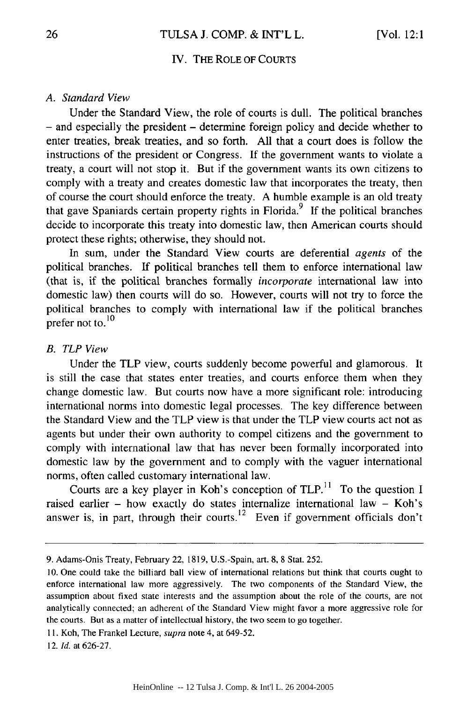#### IV. THE ROLE OF **COURTS**

#### *A. Standard View*

Under the Standard View, the role of courts is dull. The political branches **-** and especially the president - determine foreign policy and decide whether to enter treaties, break treaties, and so forth. All that a court does is follow the instructions of the president or Congress. If the government wants to violate a treaty, a court will not stop it. But if the government wants its own citizens to comply with a treaty and creates domestic law that incorporates the treaty, then of course the court should enforce the treaty. A humble example is an old treaty that gave Spaniards certain property rights in Florida.9 **If** the political branches decide to incorporate this treaty into domestic law, then American courts should protect these rights; otherwise, they should not.

In sum, under the Standard View courts are deferential *agents* of the political branches. If political branches tell them to enforce international law (that is, if the political branches formally *incorporate* international law into domestic law) then courts will do so. However, courts will not try to force the political branches to comply with international law if the political branches prefer not **to. <sup>10</sup>**

#### *B. TLP View*

Under the TLP view, courts suddenly become powerful and glamorous. It is still the case that states enter treaties, and courts enforce them when they change domestic law. But courts now have a more significant role: introducing international norms into domestic legal processes. The key difference between the Standard View and the TLP view is that under the TLP view courts act not as agents but under their own authority to compel citizens and the government to comply with international law that has never been formally incorporated into domestic law by the government and to comply with the vaguer international norms, often called customary international law.

Courts are a key player in Koh's conception of TLP.<sup>11</sup> To the question I raised earlier - how exactly do states internalize international law - Koh's answer is, in part, through their courts.<sup>12</sup> Even if government officials don't

<sup>9.</sup> Adams-Onis Treaty, February 22, 1819, U.S.-Spain, art. 8, 8 Stat. 252.

<sup>10.</sup> One could take the billiard ball view of international relations but think that courts ought to enforce international law more aggressively. The two components of the Standard View, the assumption about fixed state interests and the assumption about the role of the courts, are not analytically connected; an adherent of the Standard View might favor a more aggressive role for the courts. But as a matter of intellectual history, the two seem to go together.

**<sup>11.</sup>** Koh, The Frankel Lecture, supra note 4, at 649-52.

<sup>12.</sup> *Id.* at 626-27.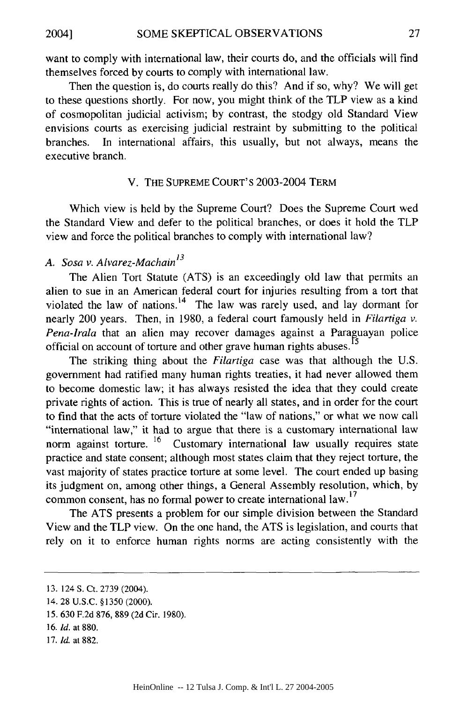want to comply with international law, their courts do, and the officials will find themselves forced by courts to comply with international law.

Then the question is, do courts really do this? And if so, why? We will get to these questions shortly. For now, you might think of the TLP view as a kind of cosmopolitan judicial activism; by contrast, the stodgy old Standard View envisions courts as exercising judicial restraint by submitting to the political branches. In international affairs, this usually, but not always, means the executive branch.

#### V. THE SUPREME COURT'S 2003-2004 TERM

Which view is held by the Supreme Court? Does the Supreme Court wed the Standard View and defer to the political branches, or does it hold the TLP view and force the political branches to comply with international law?

## *A. Sosa v. Alvarez-Machain13*

The Alien Tort Statute (ATS) is an exceedingly old law that permits an alien to sue in an American federal court for injuries resulting from a tort that violated the law of nations.<sup>14</sup> The law was rarely used, and lay dormant for nearly 200 years. Then, in 1980, a federal court famously held in *Filartiga v.* Pena-Irala that an alien may recover damages against a Paraguayan police official on account of torture and other grave human rights abuses.<sup>15</sup>

The striking thing about the *Filartiga* case was that although the U.S. government had ratified many human rights treaties, it had never allowed them to become domestic law; it has always resisted the idea that they could create private rights of action. This is true of nearly all states, and in order for the court to find that the acts of torture violated the "law of nations," or what we now call "international law," it had to argue that there is a customary international law norm against torture. **16** Customary international law usually requires state practice and state consent; although most states claim that they reject torture, the vast majority of states practice torture at some level. The court ended up basing its judgment on, among other things, a General Assembly resolution, which, by common consent, has no formal power to create international law.<sup>17</sup>

The ATS presents a problem for our simple division between the Standard View and the TLP view. On the one hand, the ATS is legislation, and courts that rely on it to enforce human rights norms are acting consistently with the

- 15. 630 F.2d 876, 889 (2d Cir. 1980).
- 16. *Id.* at 880.
- 17. *Id.* at 882.

<sup>13. 124</sup> S. Ct. 2739 (2004).

<sup>14. 28</sup> U.S.C. §1350 (2000).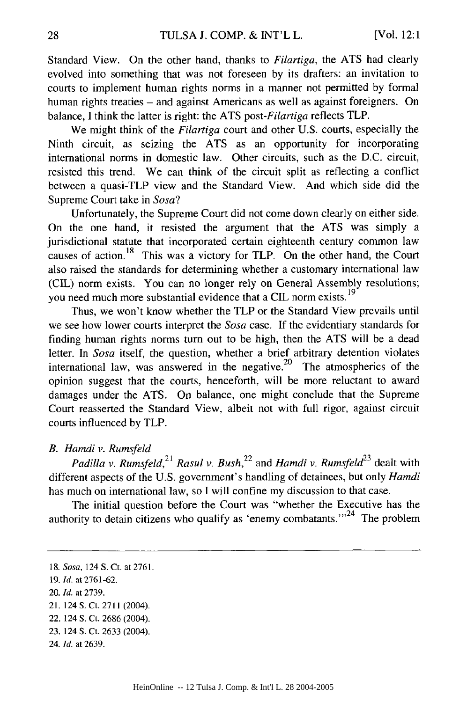Standard View. On the other hand, thanks to *Filartiga,* the ATS had clearly evolved into something that was not foreseen by its drafters: an invitation to courts to implement human rights norms in a manner not permitted by formal human rights treaties - and against Americans as well as against foreigners. On balance, I think the latter is right: the ATS *post-Filartiga* reflects TLP.

We might think of the *Filartiga* court and other U.S. courts, especially the Ninth circuit, as seizing the ATS as an opportunity for incorporating international norms in domestic law. Other circuits, such as the D.C. circuit, resisted this trend. We can think of the circuit split as reflecting a conflict between a quasi-TLP view and the Standard View. And which side did the Supreme Court take in *Sosa?*

Unfortunately, the Supreme Court did not come down clearly on either side. On the one hand, it resisted the argument that the ATS was simply a jurisdictional statute that incorporated certain eighteenth century common law causes of action. 18 This was a victory for TLP. On the other hand, the Court also raised the standards for determining whether a customary international law (CIL) norm exists. You can no longer rely on General Assembly resolutions; you need much more substantial evidence that a **CIL** norm exists. **<sup>19</sup>**

Thus, we won't know whether the TLP or the Standard View prevails until we see how lower courts interpret the *Sosa* case. If the evidentiary standards for finding human rights norms turn out to be high, then the ATS will be a dead letter. In *Sosa* itself, the question, whether a brief arbitrary detention violates international law, was answered in the negative.<sup>20</sup> The atmospherics of the opinion suggest that the courts, henceforth, will be more reluctant to award damages under the ATS. On balance, one might conclude that the Supreme Court reasserted the Standard View, albeit not with full rigor, against circuit courts influenced by TLP.

#### *B. Hamdi v. Rumsfeld*

*Padilla v. Rumsfeld*,<sup>21</sup> *Rasul v. Bush*,<sup>22</sup> and *Hamdi v. Rumsfeld*<sup>23</sup> dealt with different aspects of the U.S. government's handling of detainees, but only *Hamdi* has much on international law, so I will confine my discussion to that case.

The initial question before the Court was "whether the Executive has the authority to detain citizens who qualify as 'enemy combatants. $m<sup>24</sup>$  The problem

<sup>18.</sup> *Sosa,* 124 S. Ct. at 2761.

**<sup>19.</sup>** *Id.* at **2761-62.**

<sup>20.</sup> *Id.* at 2739.

<sup>2!. 124</sup> S. Ct. 2711 (2004).

<sup>22. 124</sup> **S.** Ct. **2686** (2004).

**<sup>23.</sup>** 124 **S.** Ct. **2633** (2004).

<sup>24.</sup> *Id.* at **2639.**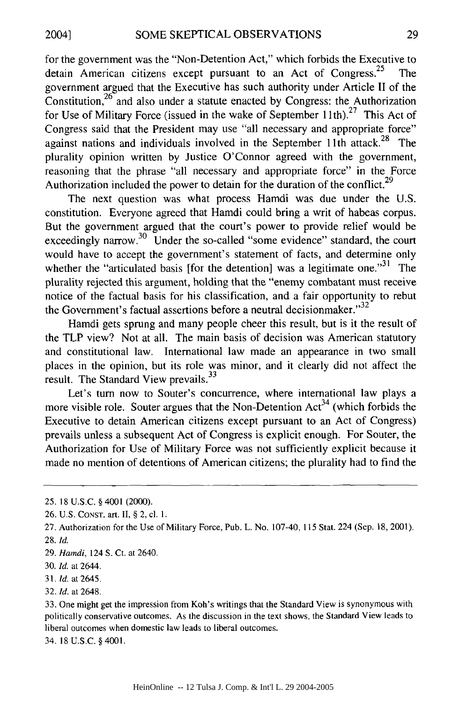for the government was the "Non-Detention Act," which forbids the Executive to detain American citizens except pursuant to an Act of Congress.<sup>25</sup> The government argued that the Executive has such authority under Article II of the Constitution,  $26$  and also under a statute enacted by Congress: the Authorization for Use of Military Force (issued in the wake of September 11th).<sup>27</sup> This Act of Congress said that the President may use "all necessary and appropriate force" against nations and individuals involved in the September 11th attack.<sup>28</sup> The plurality opinion written by Justice O'Connor agreed with the government, reasoning that the phrase "all necessary and appropriate force" in the Force Authorization included the power to detain for the duration of the conflict.<sup>29</sup>

The next question was what process Hamdi was due under the U.S. constitution. Everyone agreed that Hamdi could bring a writ of habeas corpus. But the government argued that the court's power to provide relief would be exceedingly narrow.<sup>30</sup> Under the so-called "some evidence" standard, the court would have to accept the government's statement of facts, and determine only whether the "articulated basis [for the detention] was a legitimate one. $^{31}$  The plurality rejected this argument, holding that the "enemy combatant must receive notice of the factual basis for his classification, and a fair opportunity to rebut the Government's factual assertions before a neutral decision maker." $32$ 

Hamdi gets sprung and many people cheer this result, but is it the result of the TLP view? Not at all. The main basis of decision was American statutory and constitutional law. International law made an appearance in two small places in the opinion, but its role was minor, and it clearly did not affect the result. The Standard View prevails.<sup>33</sup>

Let's turn now to Souter's concurrence, where international law plays a more visible role. Souter argues that the Non-Detention  $Act^{34}$  (which forbids the Executive to detain American citizens except pursuant to an Act of Congress) prevails unless a subsequent Act of Congress is explicit enough. For Souter, the Authorization for Use of Military Force was not sufficiently explicit because it made no mention of detentions of American citizens; the plurality had to find the

32. **Id.** at 2648.

34. 18 U.S.C. §4001.

<sup>25. 18</sup> U.S.C. § 4001 (2000).

<sup>26.</sup> U.S. **CONST.** art. II, § 2, cl. 1.

<sup>27.</sup> Authorization for the Use of Military Force, Pub. L. No. 107-40, 115 Stat. 224 (Sep. 18, 2001). 28. *Id.*

<sup>29.</sup> *Hamdi,* 124 **S.** Ct. at 2640.

<sup>30.</sup> *Id.* at 2644.

<sup>31.</sup> *Id.* at 2645.

<sup>33.</sup> One might get the impression from Koh's writings that the Standard View is synonymous with politically conservative outcomes. As the discussion in the text shows, the Standard View leads to liberal outcomes when domestic law leads to liberal outcomes.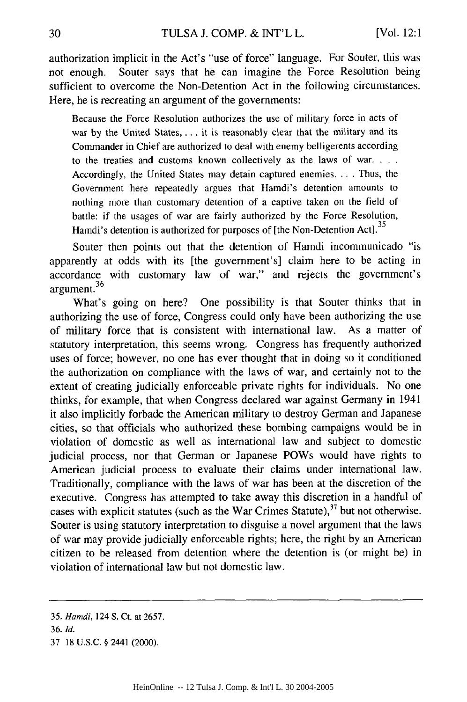authorization implicit in the Act's "use of force" language. For Souter, this was not enough. Souter says that he can imagine the Force Resolution being sufficient to overcome the Non-Detention Act in the following circumstances. Here, he is recreating an argument of the governments:

Because the Force Resolution authorizes the use of military force in acts of war by the United States, . . . it is reasonably clear that the military and its Commander in Chief are authorized to deal with enemy belligerents according to the treaties and customs known collectively as the laws of war **...** Accordingly, the United States may detain captured enemies. **..** . Thus, the Government here repeatedly argues that Hamdi's detention amounts to nothing more than customary detention of a captive taken on the field of battle: if the usages of war are fairly authorized by the Force Resolution, Hamdi's detention is authorized for purposes of [the Non-Detention Act].<sup>35</sup>

Souter then points out that the detention of Hamdi incommunicado "is apparently at odds with its [the government's] claim here to be acting in accordance with customary law of war," and rejects the government's  $\frac{1}{26}$  argument.<sup>36</sup>

What's going on here? One possibility is that Souter thinks that in authorizing the use of force, Congress could only have been authorizing the use of military force that is consistent with international law. As a matter of statutory interpretation, this seems wrong. Congress has frequently authorized uses of force; however, no one has ever thought that in doing so it conditioned the authorization on compliance with the laws of war, and certainly not to the extent of creating judicially enforceable private rights for individuals. No one thinks, for example, that when Congress declared war against Germany in 1941 it also implicitly forbade the American military to destroy German and Japanese cities, so that officials who authorized these bombing campaigns would be in violation of domestic as well as international law and subject to domestic judicial process, nor that German or Japanese POWs would have rights to American judicial process to evaluate their claims under international law. Traditionally, compliance with the laws of war has been at the discretion of the executive. Congress has attempted to take away this discretion in a handful of cases with explicit statutes (such as the War Crimes Statute), $37$  but not otherwise. Souter is using statutory interpretation to disguise a novel argument that the laws of war may provide judicially enforceable rights; here, the right by an American citizen to be released from detention where the detention is (or might be) in violation of international law but not domestic law.

*<sup>35.</sup> Hamdi,* 124 S. Ct. at 2657.

<sup>36.</sup> *Id.*

<sup>37 18</sup> U.S.C. § 2441 (2000).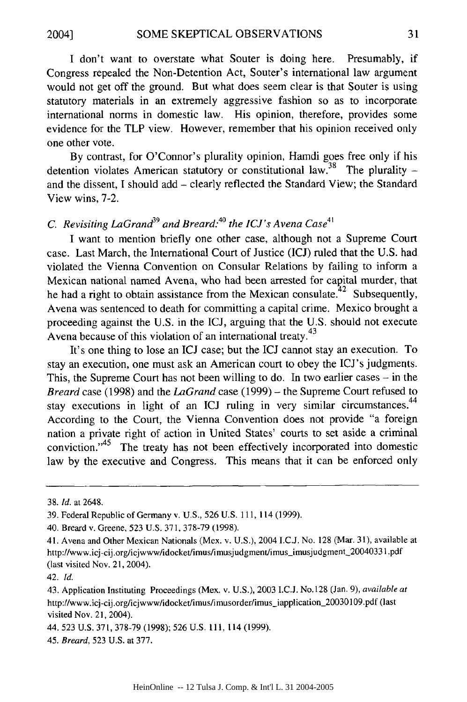I don't want to overstate what Souter is doing here. Presumably, if Congress repealed the Non-Detention Act, Souter's international law argument would not get off the ground. But what does seem clear is that Souter is using statutory materials in an extremely aggressive fashion so as to incorporate international norms in domestic law. His opinion, therefore, provides some evidence for the TLP view. However, remember that his opinion received only one other vote.

By contrast, for O'Connor's plurality opinion, Hamdi goes free only if his detention violates American statutory or constitutional law.<sup>38</sup> The plurality and the dissent, I should add - clearly reflected the Standard View; the Standard View wins, 7-2.

## *C. Revisiting LaGrand*<sup>39</sup> and Breard:<sup>40</sup> the ICJ's Avena Case<sup>41</sup>

I want to mention briefly one other case, although not a Supreme Court case. Last March, the International Court of Justice (ICJ) ruled that the U.S. had violated the Vienna Convention on Consular Relations by failing to inform a Mexican national named Avena, who had been arrested for capital murder, that he had a right to obtain assistance from the Mexican consulate.<sup> $42$ </sup> Subsequently, Avena was sentenced to death for committing a capital crime. Mexico brought a proceeding against the U.S. in the ICJ, arguing that the U.S. should not execute Avena because of this violation of an international treaty.<sup>43</sup>

It's one thing to lose an ICJ case; but the ICJ cannot stay an execution. To stay an execution, one must ask an American court to obey the ICJ's judgments. This, the Supreme Court has not been willing to do. In two earlier cases  $-$  in the *Breard* case (1998) and the *LaGrand* case (1999) - the Supreme Court refused to stay executions in light of an ICJ ruling in very similar circumstances.<sup>44</sup> According to the Court, the Vienna Convention does not provide "a foreign nation a private right of action in United States' courts to set aside a criminal conviction."<sup>45</sup> The treaty has not been effectively incorporated into domestic law by the executive and Congress. This means that it can be enforced only

<sup>38.</sup> *Id.* at 2648,

<sup>39.</sup> Federal Republic of Germany v. U.S., 526 U.S. 111, 114(1999).

<sup>40.</sup> Breard v. Greene, 523 U.S. 371, 378-79 (1998).

<sup>41.</sup> Avena and Other Mexican Nationals (Mex. v. U.S.), 2004 I.C.J. No. 128 (Mar. 31), available at http://www.icj-cij.org/icjwww/idocket/imus/imusjudgment/imus\_imusjudgment\_20040331.pdf (last visited Nov. 21, 2004).

<sup>42.</sup> *Id.*

<sup>43.</sup> Application Instituting Proceedings (Mex. v. U.S.), 2003 I.C.J. No.128 (Jan. 9), *available at* http://www.icj-cij.org/icjwww/idocket/imus/imusorder/imus\_iapplication\_20030109.pdf (last visited Nov. 21, 2004).

<sup>44. 523</sup> U.S. 371, 378-79 (1998); 526 U.S. **111,** 114 (1999).

<sup>45.</sup> *Breard,* 523 U.S. at 377.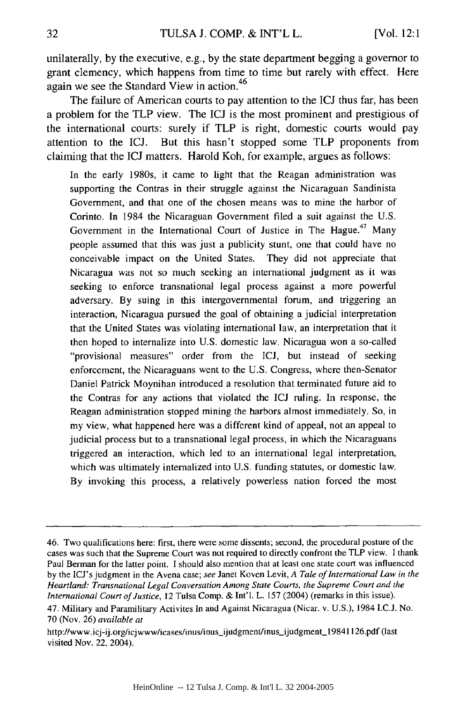unilaterally, by the executive, e.g., by the state department begging a governor to grant clemency, which happens from time to time but rarely with effect. Here again we see the Standard View in action. <sup>46</sup>

The failure of American courts to pay attention to the ICJ thus far, has been a problem for the TLP view. The ICJ is the most prominent and prestigious of the international courts: surely if TLP is right, domestic courts would pay attention to the ICJ. But this hasn't stopped some TLP proponents from claiming that the **ICJ** matters. Harold Koh, for example, argues as follows:

In the early 1980s, it came to light that the Reagan administration was supporting the Contras in their struggle against the Nicaraguan Sandinista Government, and that one of the chosen means was to mine the harbor of Corinto. In 1984 the Nicaraguan Government filed a suit against the U.S. Government in the International Court of Justice in The Hague.<sup>47</sup> Many people assumed that this was just a publicity stunt, one that could have no conceivable impact on the United States. They did not appreciate that Nicaragua was not so much seeking an international judgment as it was seeking to enforce transnational legal process against a more powerful adversary. By suing in this intergovernmental forum, and triggering an interaction, Nicaragua pursued the goal of obtaining a judicial interpretation that the United States was violating international law, an interpretation that it then hoped to internalize into U.S. domestic law. Nicaragua won a so-called "provisional measures" order from the ICJ, but instead of seeking enforcement, the Nicaraguans went to the U.S. Congress, where then-Senator Daniel Patrick Moynihan introduced a resolution that terminated future aid to the Contras for any actions that violated the **ICJ** ruling. In response, the Reagan administration stopped mining the harbors almost immediately. So, in my view, what happened here was a different kind of appeal, not an appeal to judicial process but to a transnational legal process, in which the Nicaraguans triggered an interaction, which led to an international legal interpretation, which was ultimately internalized into U.S. funding statutes, or domestic law. By invoking this process, a relatively powerless nation forced the most

<sup>46.</sup> Two qualifications here: first, there were some dissents; second, the procedural posture of the cases was such that the Supreme Court was not required to directly confront the TLP view. I thank Paul Berman for the latter point. I should also mention that at least one state court was influenced by the ICJ's judgment in the Avena case; *see* Janet Koven Levit, *A Tale of International Law in the Heartland: Transnational Legal Conversation Among State Courts, the Supreme Court and the International Court of Justice,* 12 Tulsa Comp. & Int'l. L. 157 (2004) (remarks in this issue).

<sup>47.</sup> Military and Paramilitary Activites In and Against Nicaragua (Nicar. v. U.S.), 1984 I.C.J. No. 70 (Nov. 26) *available at*

http://www.icj-ij.org/icjwww/icases/inus/inus-ijudgment/inus~ijudgment-19841126.pdf (last visited Nov. 22, 2004).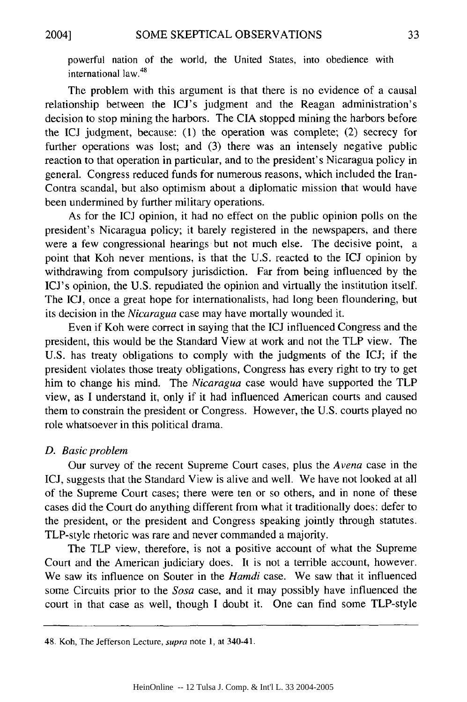powerful nation of the world, the United States, into obedience with international law. <sup>48</sup>

The problem with this argument is that there is no evidence of a causal relationship between the ICJ's judgment and the Reagan administration's decision to stop mining the harbors. The CIA stopped mining the harbors before the ICJ judgment, because: (1) the operation was complete; (2) secrecy for further operations was lost; and (3) there was an intensely negative public reaction to that operation in particular, and to the president's Nicaragua policy in general. Congress reduced funds for numerous reasons, which included the Iran-Contra scandal, but also optimism about a diplomatic mission that would have been undermined by further military operations.

As for the ICJ opinion, it had no effect on the public opinion polls on the president's Nicaragua policy; it barely registered in the newspapers, and there were a few congressional hearings but not much else. The decisive point, a point that Koh never mentions, is that the U.S. reacted to the ICJ opinion by withdrawing from compulsory jurisdiction. Far from being influenced by the ICJ's opinion, the U.S. repudiated the opinion and virtually the institution itself. The ICJ, once a great hope for internationalists, had long been floundering, but its decision in the *Nicaragua* case may have mortally wounded it.

Even if Koh were correct in saying that the ICJ influenced Congress and the president, this would be the Standard View at work and not the TLP view. The U.S. has treaty obligations to comply with the judgments of the ICJ; if the president violates those treaty obligations, Congress has every right to try to get him to change his mind. The *Nicaragua* case would have supported the TLP view, as I understand it, only if it had influenced American courts and caused them to constrain the president or Congress. However, the U.S. courts played no role whatsoever in this political drama.

#### *D. Basic problem*

Our survey of the recent Supreme Court cases, plus the *Avena* case in the ICJ, suggests that the Standard View is alive and well. We have not looked at all of the Supreme Court cases; there were ten or so others, and in none of these cases did the Court do anything different from what it traditionally does: defer to the president, or the president and Congress speaking jointly through statutes. TLP-style rhetoric was rare and never commanded a majority.

The TLP view, therefore, is not a positive account of what the Supreme Court and the American judiciary does. It is not a terrible account, however. We saw its influence on Souter in the *Hamdi* case. We saw that it influenced some Circuits prior to the *Sosa* case, and it may possibly have influenced the court in that case as well, though I doubt it. One can find some TLP-style

<sup>48.</sup> Koh, The Jeferson Lecture, supra note **1,** at 340-41.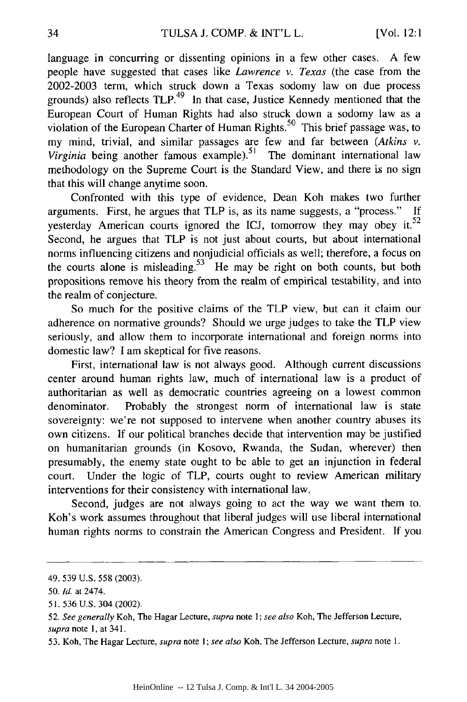language in concurring or dissenting opinions in a few other cases. A few people have suggested that cases like *Lawrence v. Texas* (the case from the 2002-2003 term, which struck down a Texas sodomy law on due process grounds) also reflects  $TLP<sup>49</sup>$  In that case, Justice Kennedy mentioned that the European Court of Human Rights had also struck down a sodomy law as a violation of the European Charter of Human Rights.<sup>50</sup> This brief passage was, to my mind, trivial, and similar passages are few and far between *(Atkins v. Virginia* being another famous example).<sup>51</sup> The dominant international law methodology on the Supreme Court is the Standard View, and there is no sign that this will change anytime soon.

Confronted with this type of evidence, Dean Koh makes two further arguments. First, he argues that TLP is, as its name suggests, a "process." If yesterday American courts ignored the ICJ, tomorrow they may obey it. $52$ Second, he argues that TLP is not just about courts, but about international norms influencing citizens and nonjudicial officials as well; therefore, a focus on the courts alone is misleading.<sup>53</sup> He may be right on both counts, but both propositions remove his theory from the realm of empirical testability, and into the realm of conjecture.

So much for the positive claims of the TLP view, but can it claim our adherence on normative grounds? Should we urge judges to take the TLP view seriously, and allow them to incorporate international and foreign norms into domestic law? I am skeptical for five reasons.

First, international law is not always good. Although current discussions center around human rights law, much of international law is a product of authoritarian as well as democratic countries agreeing on a lowest common denominator. Probably the strongest norm of international law is state sovereignty: we're not supposed to intervene when another country abuses its own citizens. If our political branches decide that intervention may be justified on humanitarian grounds (in Kosovo, Rwanda, the Sudan, wherever) then presumably, the enemy state ought to be able to get an injunction in federal court. Under the logic of TLP, courts ought to review American military interventions for their consistency with international law.

Second, judges are not always going to act the way we want them to. Koh's work assumes throughout that liberal judges will use liberal international human rights norms to constrain the American Congress and President. If you

<sup>49. 539</sup> U.S. 558 (2003).

*<sup>50.</sup> Id.* at 2474.

<sup>51. 536</sup> U.S. 304 (2002).

<sup>52.</sup> *See generally* Koh, The Hagar Lecture, supra note 1; *see also* Koh, The Jefferson Lecture, *supra* note 1, at 341.

<sup>53.</sup> Koh, The Hagar Lecture, *supra* note 1; *see also* Koh, The Jefferson Lecture, *supra* note 1.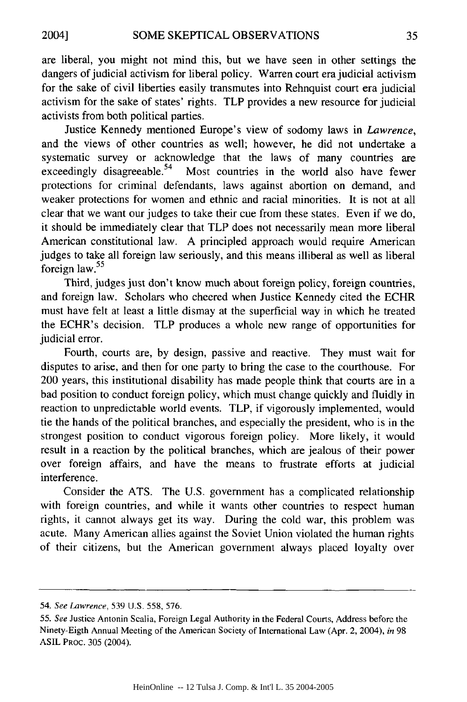are liberal, you might not mind this, but we have seen in other settings the dangers of judicial activism for liberal policy. Warren court era judicial activism for the sake of civil liberties easily transmutes into Rehnquist court era judicial activism for the sake of states' rights. TLP provides a new resource for judicial activists from both political parties.

Justice Kennedy mentioned Europe's view of sodomy laws in *Lawrence,* and the views of other countries as well; however, he did not undertake a systematic survey or acknowledge that the laws of many countries are exceedingly disagreeable.<sup>54</sup> Most countries in the world also have fewer protections for criminal defendants, laws against abortion on demand, and weaker protections for women and ethnic and racial minorities. It is not at all clear that we want our judges to take their cue from these states. Even if we do, it should be immediately clear that TLP does not necessarily mean more liberal American constitutional law. A principled approach would require American judges to take all foreign law seriously, and this means illiberal as well as liberal foreign law. $55$ 

Third, judges just don't know much about foreign policy, foreign countries, and foreign law. Scholars who cheered when Justice Kennedy cited the ECHR must have felt at least a little dismay at the superficial way in which he treated the ECHR's decision. TLP produces a whole new range of opportunities for judicial error.

Fourth, courts are, by design, passive and reactive. They must wait for disputes to arise, and then for one party to bring the case to the courthouse. For 200 years, this institutional disability has made people think that courts are in a bad position to conduct foreign policy, which must change quickly and fluidly in reaction to unpredictable world events. TLP, if vigorously implemented, would tie the hands of the political branches, and especially the president, who is in the strongest position to conduct vigorous foreign policy. More likely, it would result in a reaction by the political branches, which are jealous of their power over foreign affairs, and have the means to frustrate efforts at judicial interference.

Consider the ATS. The U.S. government has a complicated relationship with foreign countries, and while it wants other countries to respect human rights, it cannot always get its way. During the cold war, this problem was acute. Many American allies against the Soviet Union violated the human rights of their citizens, but the American government always placed loyalty over

<sup>54.</sup> *See Lawrence,* 539 U.S. 558, 576.

<sup>55.</sup> *See* Justice Antonin Scalia, Foreign Legal Authority in the Federal Courts, Address before the Ninety-Eigth Annual Meeting of the American Society of International Law (Apr. 2, 2004), *in* 98 ASIL PROC. 305 (2004).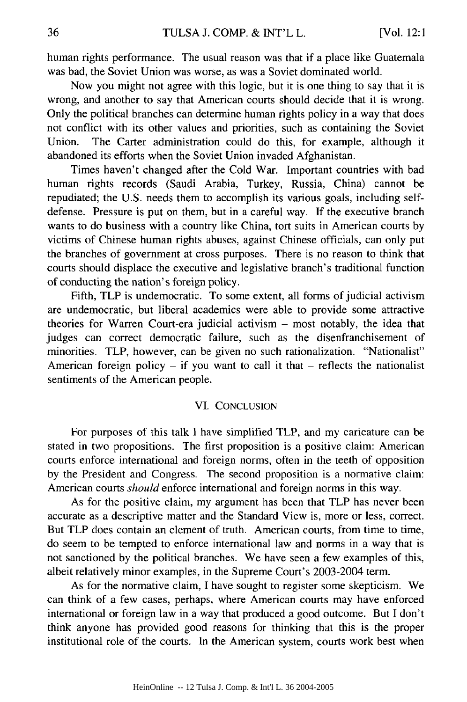human rights performance. The usual reason was that if a place like Guatemala was bad, the Soviet Union was worse, as was a Soviet dominated world.

Now you might not agree with this logic, but it is one thing to say that it is wrong, and another to say that American courts should decide that it is wrong. Only the political branches can determine human rights policy in a way that does not conflict with its other values and priorities, such as containing the Soviet Union. The Carter administration could do this, for example, although it abandoned its efforts when the Soviet Union invaded Afghanistan.

Times haven't changed after the Cold War. Important countries with bad human rights records (Saudi Arabia, Turkey, Russia, China) cannot be repudiated; the U.S. needs them to accomplish its various goals, including selfdefense. Pressure is put on them, but in a careful way. If the executive branch wants to do business with a country like China, tort suits in American courts by victims of Chinese human rights abuses, against Chinese officials, can only put the branches of government at cross purposes. There is no reason to think that courts should displace the executive and legislative branch's traditional function of conducting the nation's foreign policy.

Fifth, TLP is undemocratic. To some extent, all forms of judicial activism are undemocratic, but liberal academics were able to provide some attractive theories for Warren Court-era judicial activism - most notably, the idea that judges can correct democratic failure, such as the disenfranchisement of minorities. TLP, however, can be given no such rationalization. "Nationalist" American foreign policy **-** if you want to call it that **-** reflects the nationalist sentiments of the American people.

#### VI. CONCLUSION

For purposes of this talk 1 have simplified TLP, and my caricature can be stated in two propositions. The first proposition is a positive claim: American courts enforce international and foreign norms, often in the teeth of opposition by the President and Congress. The second proposition is a normative claim: American courts *should* enforce international and foreign norms in this way.

As for the positive claim, my argument has been that TLP has never been accurate as a descriptive matter and the Standard View is, more or less, correct. But TLP does contain an element of truth. American courts, from time to time, do seem to be tempted to enforce international law and norms in a way that is not sanctioned by the political branches. We have seen a few examples of this, albeit relatively minor examples, in the Supreme Court's 2003-2004 term.

As for the normative claim, I have sought to register some skepticism. We can think of a few cases, perhaps, where American courts may have enforced international or foreign law in a way that produced a good outcome. But I don't think anyone has provided good reasons for thinking that this is the proper institutional role of the courts. In the American system, courts work best when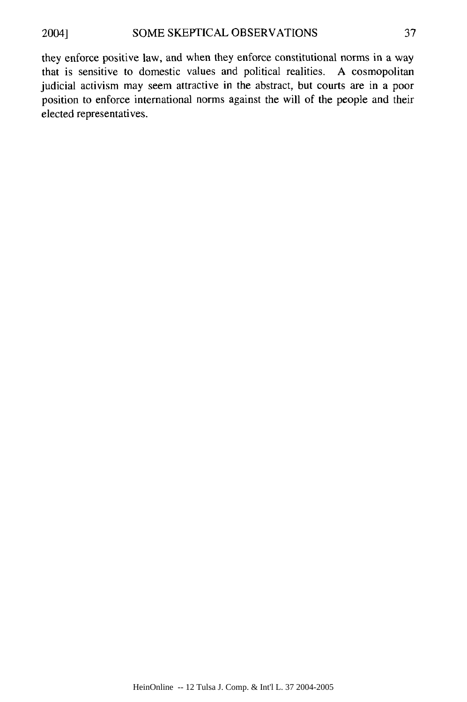they enforce positive law, and when they enforce constitutional norms in a way that is sensitive to domestic values and political realities. A cosmopolitan judicial activism may seem attractive in the abstract, but courts are in a poor position to enforce international norms against the will of the people and their elected representatives.